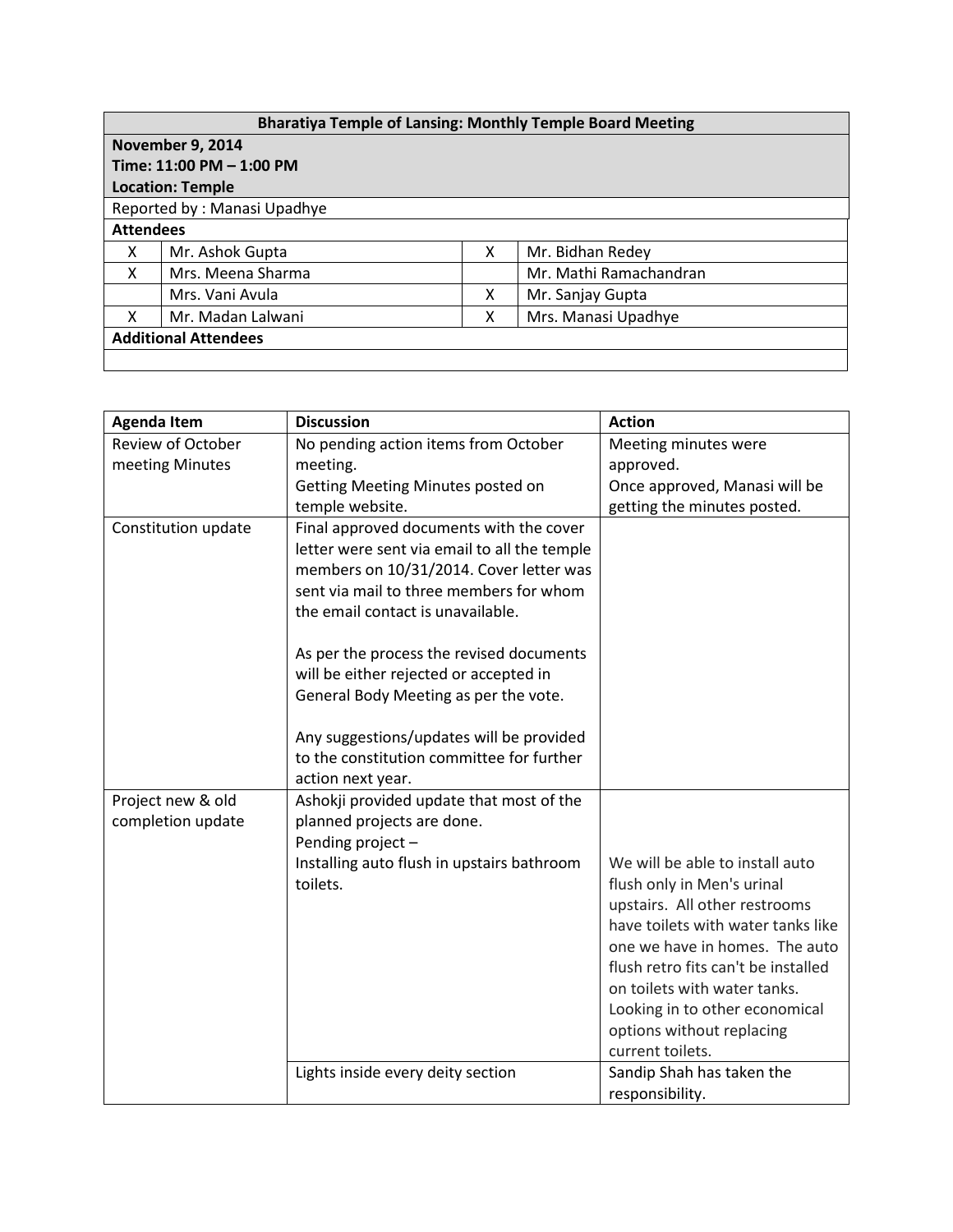| <b>Bharatiya Temple of Lansing: Monthly Temple Board Meeting</b> |                   |   |                        |  |  |  |  |
|------------------------------------------------------------------|-------------------|---|------------------------|--|--|--|--|
| <b>November 9, 2014</b>                                          |                   |   |                        |  |  |  |  |
| Time: 11:00 PM - 1:00 PM                                         |                   |   |                        |  |  |  |  |
| <b>Location: Temple</b>                                          |                   |   |                        |  |  |  |  |
| Reported by: Manasi Upadhye                                      |                   |   |                        |  |  |  |  |
| <b>Attendees</b>                                                 |                   |   |                        |  |  |  |  |
| X                                                                | Mr. Ashok Gupta   | x | Mr. Bidhan Redey       |  |  |  |  |
| X                                                                | Mrs. Meena Sharma |   | Mr. Mathi Ramachandran |  |  |  |  |
|                                                                  | Mrs. Vani Avula   | X | Mr. Sanjay Gupta       |  |  |  |  |
| x                                                                | Mr. Madan Lalwani | x | Mrs. Manasi Upadhye    |  |  |  |  |
| <b>Additional Attendees</b>                                      |                   |   |                        |  |  |  |  |
|                                                                  |                   |   |                        |  |  |  |  |

| <b>Agenda Item</b>                     | <b>Discussion</b>                                                                                                                                                                                                                                                                                                                                 | <b>Action</b>                                                       |
|----------------------------------------|---------------------------------------------------------------------------------------------------------------------------------------------------------------------------------------------------------------------------------------------------------------------------------------------------------------------------------------------------|---------------------------------------------------------------------|
| <b>Review of October</b>               | No pending action items from October                                                                                                                                                                                                                                                                                                              | Meeting minutes were                                                |
| meeting Minutes                        | meeting.                                                                                                                                                                                                                                                                                                                                          | approved.                                                           |
|                                        | Getting Meeting Minutes posted on                                                                                                                                                                                                                                                                                                                 | Once approved, Manasi will be                                       |
|                                        | temple website.                                                                                                                                                                                                                                                                                                                                   | getting the minutes posted.                                         |
| Constitution update                    | Final approved documents with the cover<br>letter were sent via email to all the temple<br>members on 10/31/2014. Cover letter was<br>sent via mail to three members for whom<br>the email contact is unavailable.<br>As per the process the revised documents<br>will be either rejected or accepted in<br>General Body Meeting as per the vote. |                                                                     |
|                                        | Any suggestions/updates will be provided<br>to the constitution committee for further<br>action next year.                                                                                                                                                                                                                                        |                                                                     |
| Project new & old<br>completion update | Ashokji provided update that most of the<br>planned projects are done.<br>Pending project-                                                                                                                                                                                                                                                        |                                                                     |
|                                        | Installing auto flush in upstairs bathroom                                                                                                                                                                                                                                                                                                        | We will be able to install auto                                     |
|                                        | toilets.                                                                                                                                                                                                                                                                                                                                          | flush only in Men's urinal                                          |
|                                        |                                                                                                                                                                                                                                                                                                                                                   | upstairs. All other restrooms<br>have toilets with water tanks like |
|                                        |                                                                                                                                                                                                                                                                                                                                                   | one we have in homes. The auto                                      |
|                                        |                                                                                                                                                                                                                                                                                                                                                   | flush retro fits can't be installed                                 |
|                                        |                                                                                                                                                                                                                                                                                                                                                   | on toilets with water tanks.                                        |
|                                        |                                                                                                                                                                                                                                                                                                                                                   | Looking in to other economical                                      |
|                                        |                                                                                                                                                                                                                                                                                                                                                   | options without replacing                                           |
|                                        |                                                                                                                                                                                                                                                                                                                                                   | current toilets.                                                    |
|                                        | Lights inside every deity section                                                                                                                                                                                                                                                                                                                 | Sandip Shah has taken the                                           |
|                                        |                                                                                                                                                                                                                                                                                                                                                   | responsibility.                                                     |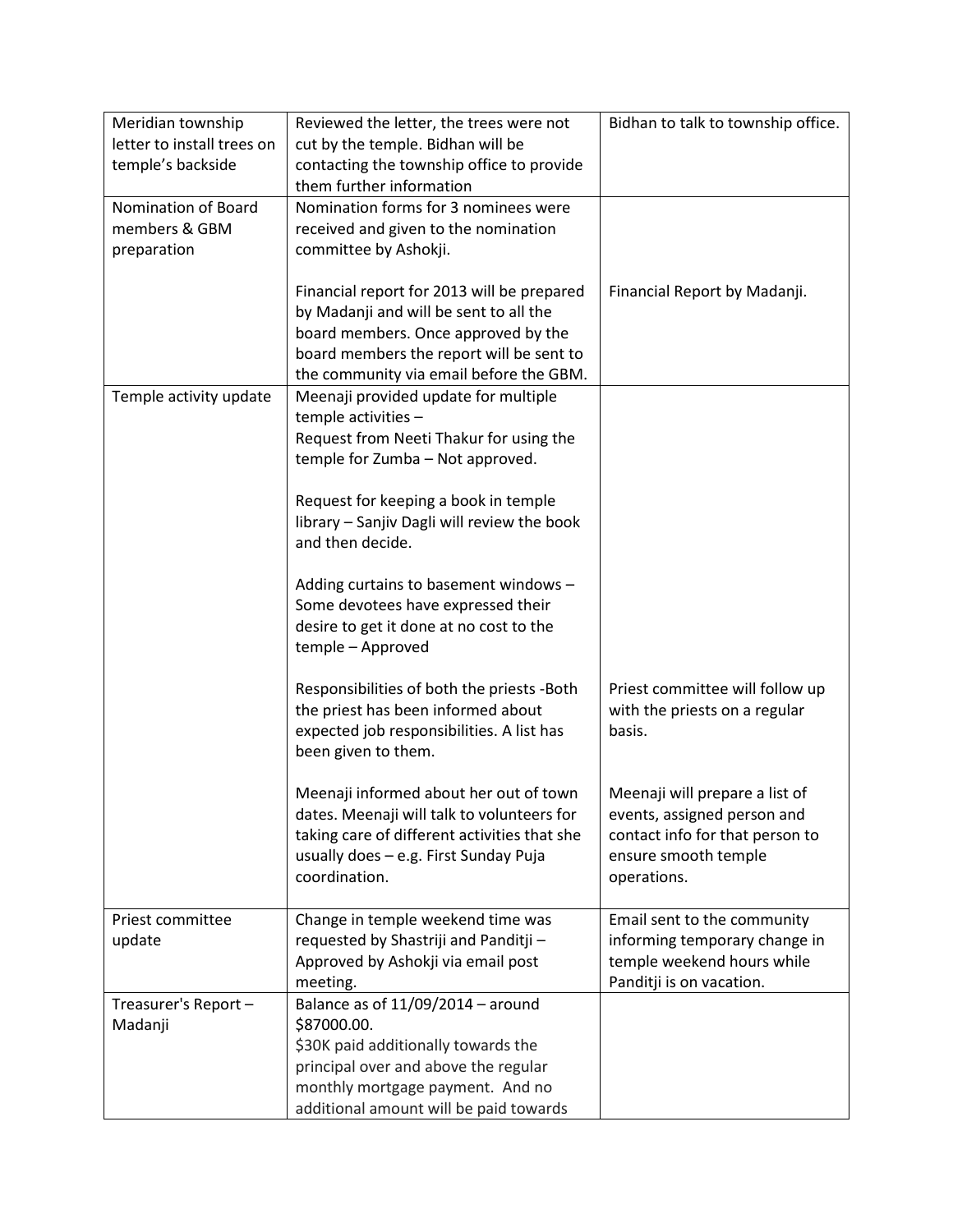| Meridian township               | Reviewed the letter, the trees were not                                  | Bidhan to talk to township office.                     |
|---------------------------------|--------------------------------------------------------------------------|--------------------------------------------------------|
| letter to install trees on      | cut by the temple. Bidhan will be                                        |                                                        |
| temple's backside               | contacting the township office to provide                                |                                                        |
|                                 | them further information                                                 |                                                        |
| Nomination of Board             | Nomination forms for 3 nominees were                                     |                                                        |
| members & GBM                   | received and given to the nomination                                     |                                                        |
| preparation                     | committee by Ashokji.                                                    |                                                        |
|                                 |                                                                          |                                                        |
|                                 | Financial report for 2013 will be prepared                               | Financial Report by Madanji.                           |
|                                 | by Madanji and will be sent to all the                                   |                                                        |
|                                 | board members. Once approved by the                                      |                                                        |
|                                 | board members the report will be sent to                                 |                                                        |
|                                 | the community via email before the GBM.                                  |                                                        |
| Temple activity update          | Meenaji provided update for multiple                                     |                                                        |
|                                 | temple activities -                                                      |                                                        |
|                                 | Request from Neeti Thakur for using the                                  |                                                        |
|                                 | temple for Zumba - Not approved.                                         |                                                        |
|                                 |                                                                          |                                                        |
|                                 | Request for keeping a book in temple                                     |                                                        |
|                                 | library - Sanjiv Dagli will review the book<br>and then decide.          |                                                        |
|                                 |                                                                          |                                                        |
|                                 | Adding curtains to basement windows -                                    |                                                        |
|                                 | Some devotees have expressed their                                       |                                                        |
|                                 | desire to get it done at no cost to the                                  |                                                        |
|                                 | temple - Approved                                                        |                                                        |
|                                 |                                                                          |                                                        |
|                                 | Responsibilities of both the priests -Both                               | Priest committee will follow up                        |
|                                 | the priest has been informed about                                       | with the priests on a regular                          |
|                                 | expected job responsibilities. A list has                                | basis.                                                 |
|                                 | been given to them.                                                      |                                                        |
|                                 |                                                                          |                                                        |
|                                 | Meenaji informed about her out of town                                   | Meenaji will prepare a list of                         |
|                                 | dates. Meenaji will talk to volunteers for                               | events, assigned person and                            |
|                                 | taking care of different activities that she                             | contact info for that person to                        |
|                                 | usually does - e.g. First Sunday Puja                                    | ensure smooth temple                                   |
|                                 | coordination.                                                            | operations.                                            |
|                                 |                                                                          |                                                        |
| Priest committee                | Change in temple weekend time was                                        | Email sent to the community                            |
| update                          | requested by Shastriji and Panditji -                                    | informing temporary change in                          |
|                                 | Approved by Ashokji via email post                                       | temple weekend hours while<br>Panditji is on vacation. |
|                                 | meeting.<br>Balance as of $11/09/2014$ - around                          |                                                        |
| Treasurer's Report -<br>Madanji | \$87000.00.                                                              |                                                        |
|                                 | \$30K paid additionally towards the                                      |                                                        |
|                                 |                                                                          |                                                        |
|                                 |                                                                          |                                                        |
|                                 | principal over and above the regular<br>monthly mortgage payment. And no |                                                        |